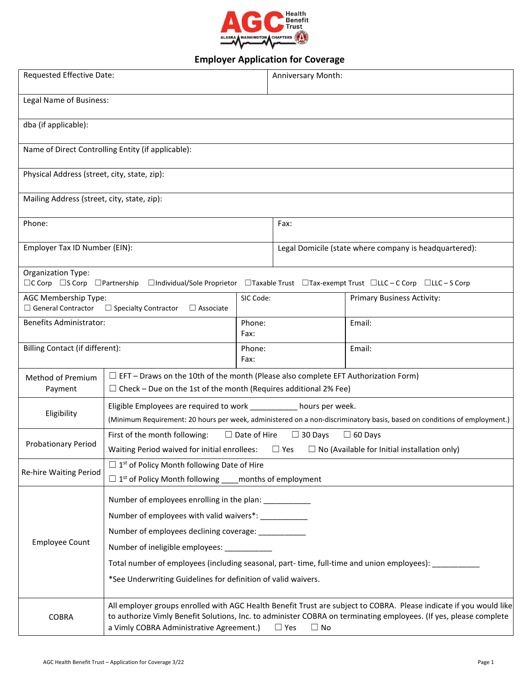

## **Employer Application for Coverage**

| Requested Effective Date:                                                                                                                                       |                                                                                                                                                                                                                                                                                                                |                                                                                           | Anniversary Month:                                     |                                   |  |  |
|-----------------------------------------------------------------------------------------------------------------------------------------------------------------|----------------------------------------------------------------------------------------------------------------------------------------------------------------------------------------------------------------------------------------------------------------------------------------------------------------|-------------------------------------------------------------------------------------------|--------------------------------------------------------|-----------------------------------|--|--|
| Legal Name of Business:                                                                                                                                         |                                                                                                                                                                                                                                                                                                                |                                                                                           |                                                        |                                   |  |  |
| dba (if applicable):                                                                                                                                            |                                                                                                                                                                                                                                                                                                                |                                                                                           |                                                        |                                   |  |  |
| Name of Direct Controlling Entity (if applicable):                                                                                                              |                                                                                                                                                                                                                                                                                                                |                                                                                           |                                                        |                                   |  |  |
| Physical Address (street, city, state, zip):                                                                                                                    |                                                                                                                                                                                                                                                                                                                |                                                                                           |                                                        |                                   |  |  |
| Mailing Address (street, city, state, zip):                                                                                                                     |                                                                                                                                                                                                                                                                                                                |                                                                                           |                                                        |                                   |  |  |
| Phone:                                                                                                                                                          |                                                                                                                                                                                                                                                                                                                |                                                                                           | Fax:                                                   |                                   |  |  |
| Employer Tax ID Number (EIN):                                                                                                                                   |                                                                                                                                                                                                                                                                                                                |                                                                                           | Legal Domicile (state where company is headquartered): |                                   |  |  |
| Organization Type:<br>$\Box C$ Corp $\Box S$ Corp $\Box$ Partnership<br>□Individual/Sole Proprietor □Taxable Trust □Tax-exempt Trust □LC - C Corp □LLC - S Corp |                                                                                                                                                                                                                                                                                                                |                                                                                           |                                                        |                                   |  |  |
| AGC Membership Type:<br>$\Box$ General Contractor<br>$\Box$ Specialty Contractor<br>$\Box$ Associate                                                            |                                                                                                                                                                                                                                                                                                                | SIC Code:                                                                                 |                                                        | <b>Primary Business Activity:</b> |  |  |
| <b>Benefits Administrator:</b>                                                                                                                                  |                                                                                                                                                                                                                                                                                                                | Phone:<br>Fax:                                                                            |                                                        | Email:                            |  |  |
| Billing Contact (if different):                                                                                                                                 |                                                                                                                                                                                                                                                                                                                | Phone:<br>Fax:                                                                            |                                                        | Email:                            |  |  |
| Method of Premium<br>Payment                                                                                                                                    | $\Box$ Check – Due on the 1st of the month (Requires additional 2% Fee)                                                                                                                                                                                                                                        | $\Box$ EFT – Draws on the 10th of the month (Please also complete EFT Authorization Form) |                                                        |                                   |  |  |
| Eligibility                                                                                                                                                     | Eligible Employees are required to work ___________ hours per week.<br>(Minimum Requirement: 20 hours per week, administered on a non-discriminatory basis, based on conditions of employment.)                                                                                                                |                                                                                           |                                                        |                                   |  |  |
| Probationary Period                                                                                                                                             | First of the month following:<br>$\Box$ Date of Hire<br>$\Box$ 60 Days<br>$\Box$ 30 Days<br>Waiting Period waived for initial enrollees:<br>$\Box$ No (Available for Initial installation only)<br>$\square$ Yes                                                                                               |                                                                                           |                                                        |                                   |  |  |
| Re-hire Waiting Period                                                                                                                                          | $\Box$ 1 <sup>st</sup> of Policy Month following Date of Hire<br>$\Box$ 1 <sup>st</sup> of Policy Month following<br>months of employment                                                                                                                                                                      |                                                                                           |                                                        |                                   |  |  |
| <b>Employee Count</b>                                                                                                                                           | Number of employees enrolling in the plan: __________                                                                                                                                                                                                                                                          |                                                                                           |                                                        |                                   |  |  |
|                                                                                                                                                                 | Number of employees with valid waivers*: ___________                                                                                                                                                                                                                                                           |                                                                                           |                                                        |                                   |  |  |
|                                                                                                                                                                 | Number of employees declining coverage: ___________                                                                                                                                                                                                                                                            |                                                                                           |                                                        |                                   |  |  |
|                                                                                                                                                                 | Number of ineligible employees:                                                                                                                                                                                                                                                                                |                                                                                           |                                                        |                                   |  |  |
|                                                                                                                                                                 | Total number of employees (including seasonal, part-time, full-time and union employees): _                                                                                                                                                                                                                    |                                                                                           |                                                        |                                   |  |  |
|                                                                                                                                                                 | *See Underwriting Guidelines for definition of valid waivers.                                                                                                                                                                                                                                                  |                                                                                           |                                                        |                                   |  |  |
| <b>COBRA</b>                                                                                                                                                    | All employer groups enrolled with AGC Health Benefit Trust are subject to COBRA. Please indicate if you would like<br>to authorize Vimly Benefit Solutions, Inc. to administer COBRA on terminating employees. (If yes, please complete<br>a Vimly COBRA Administrative Agreement.)<br>$\Box$ No<br>$\Box$ Yes |                                                                                           |                                                        |                                   |  |  |